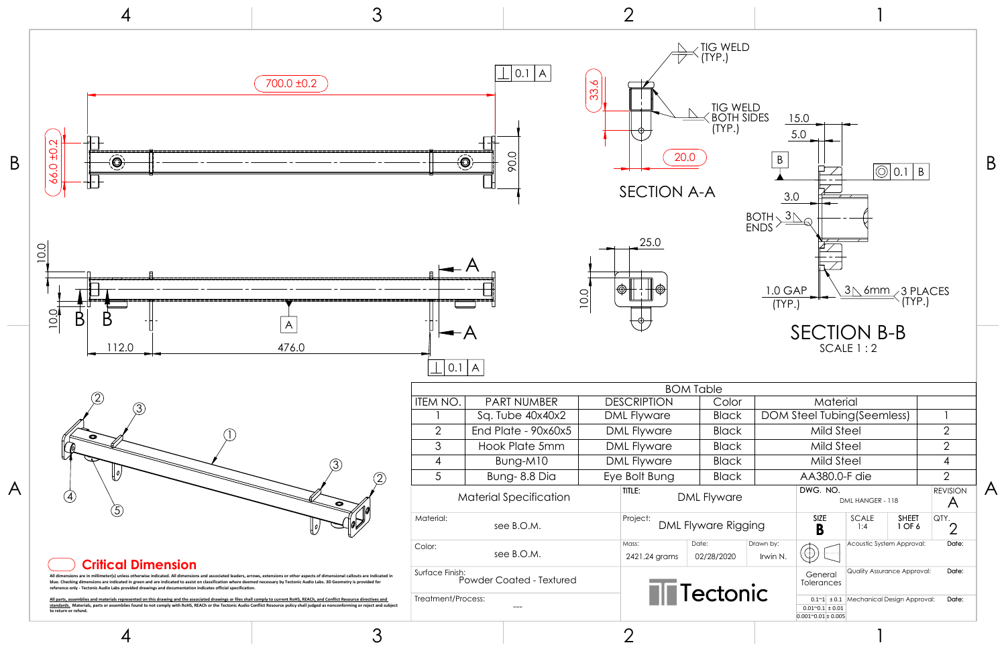| Material                     |                             |                     |                                                                                                                    |                          |                        |                                                     |  |
|------------------------------|-----------------------------|---------------------|--------------------------------------------------------------------------------------------------------------------|--------------------------|------------------------|-----------------------------------------------------|--|
|                              | DOM Steel Tubing (Seemless) |                     |                                                                                                                    |                          |                        |                                                     |  |
|                              |                             |                     |                                                                                                                    |                          | 2                      |                                                     |  |
|                              |                             |                     |                                                                                                                    |                          | $\overline{2}$         |                                                     |  |
| Mild Steel                   |                             |                     |                                                                                                                    |                          |                        | $\overline{4}$                                      |  |
| AA380.0-F die                |                             |                     |                                                                                                                    |                          | $\overline{2}$         |                                                     |  |
| DWG. NO.<br>DML HANGER - 118 |                             |                     |                                                                                                                    |                          |                        | <b>REVISION</b>                                     |  |
| <b>SIZE</b><br>yging<br>B    |                             | <b>SCALE</b><br>1:4 |                                                                                                                    |                          | QTY.<br>$\overline{2}$ |                                                     |  |
| Irwin N.                     |                             |                     |                                                                                                                    |                          |                        | Date:                                               |  |
|                              |                             |                     | <b>Quality Assurance Approval:</b><br>Date:                                                                        |                          |                        |                                                     |  |
|                              |                             |                     | Date:<br>Mechanical Design Approval:                                                                               |                          |                        |                                                     |  |
|                              | Drawn by:<br><b>NIC</b>     |                     | General<br><b>Tolerances</b><br>$0.1^{\sim}1$ ± 0.1<br>$0.01^{\circ}0.1 \pm 0.01$<br>$0.001^{\circ}0.01 \pm 0.005$ | Mild Steel<br>Mild Steel |                        | <b>SHEET</b><br>1 OF 6<br>Acoustic System Approval: |  |

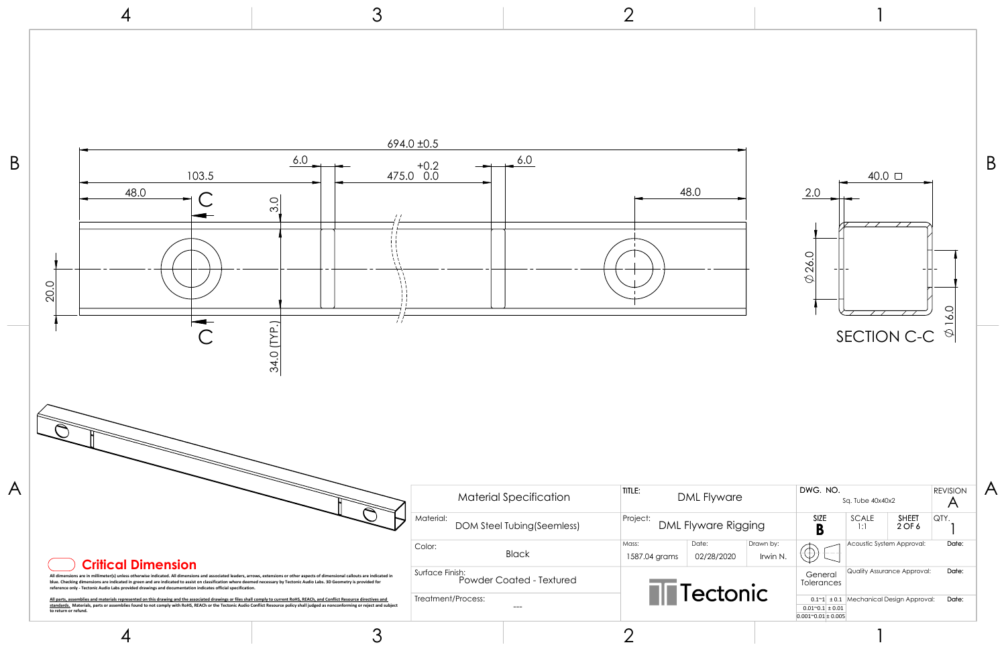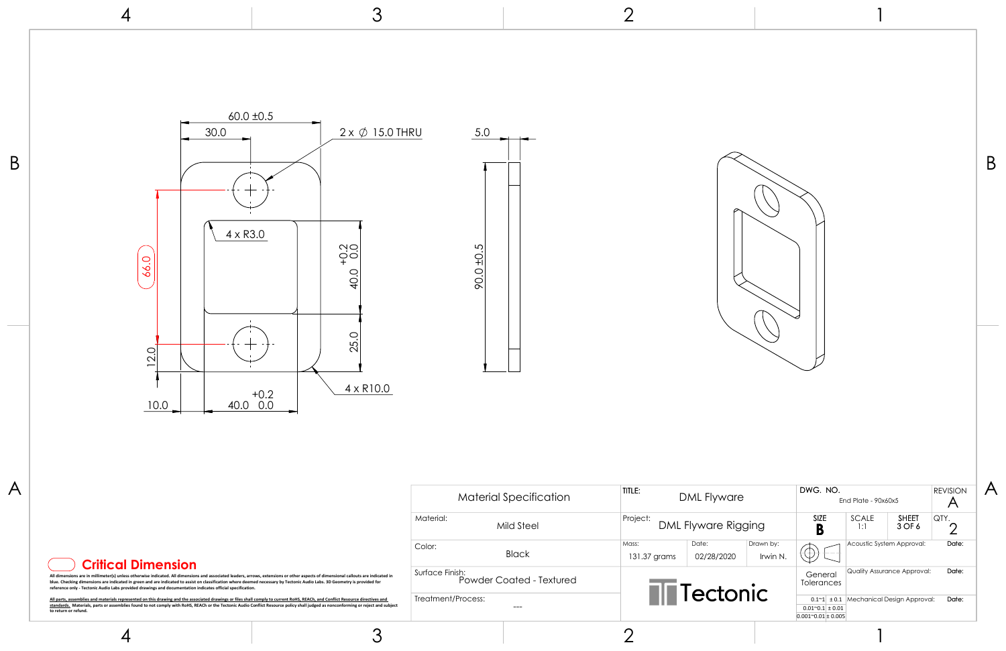| AL Flyware          |                       | DWG, NO.<br>End Plate - $90x60x5$                                          |       |                                    |                        | <b>REVISION</b> |
|---------------------|-----------------------|----------------------------------------------------------------------------|-------|------------------------------------|------------------------|-----------------|
| yware Rigging       |                       | <b>SIZE</b><br>В                                                           |       | <b>SCALE</b><br>1:1                | <b>SHEET</b><br>3 OF 6 | QTY.            |
| Date:<br>02/28/2020 | Drawn by:<br>Irwin N. |                                                                            |       | Acoustic System Approval:          | Date:                  |                 |
| ectonic             |                       | General<br>Tolerances                                                      |       | <b>Quality Assurance Approval:</b> |                        | Date:           |
|                     |                       | $0.1^{\sim}1$<br>$0.01^{\circ}0.1$ ± 0.01<br>$0.001^{\circ}0.01 \pm 0.005$ | ± 0.1 | Mechanical Design Approval:        |                        | Date:           |

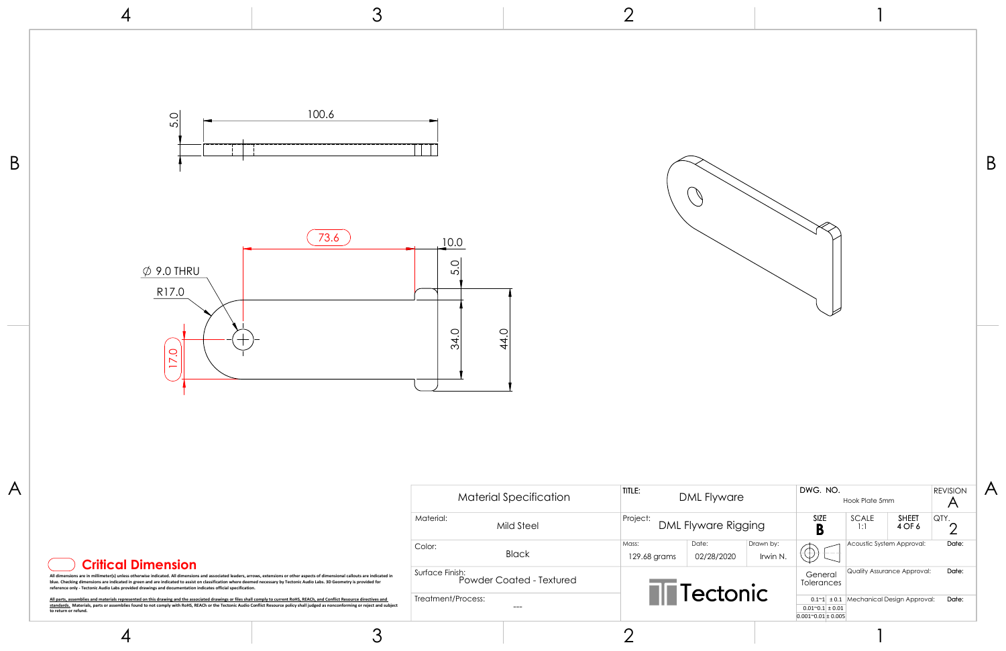|                     |                       |                                                                                    |                           |                                                                          |                      | Β |
|---------------------|-----------------------|------------------------------------------------------------------------------------|---------------------------|--------------------------------------------------------------------------|----------------------|---|
| AL Flyware          |                       | DWG. NO.                                                                           | Hook Plate 5mm            |                                                                          | <b>REVISION</b><br>A |   |
| yware Rigging       |                       | SIZE<br>B                                                                          | SCALE<br>1:1              | <b>SHEET</b><br>4 OF 6                                                   | QTY.<br>2            |   |
| Date:<br>02/28/2020 | Drawn by:<br>Irwin N. |                                                                                    | Acoustic System Approval: |                                                                          | Date:                |   |
| ectonic             |                       | General<br>Tolerances<br>$0.01^{\sim}0.1 \pm 0.01$<br>$0.001^{\sim}0.01 \pm 0.005$ |                           | Quality Assurance Approval:<br>$0.1~1$ ± 0.1 Mechanical Design Approval: | Date:<br>Date:       |   |
|                     |                       |                                                                                    |                           |                                                                          |                      |   |

3 2 4 100.6 5.0  $\overline{B}$   $\overline{B}$  $\bigcirc$  $\overline{73.6}$  10.0 5.0  $\phi$  9.0 THRU R17.0 34.0 44.0 17.0  $A$  DWG. NO. TITLE: Material Specification DML Flyware Project: Material: DML Flyware Rig Mild Steel Mass: Color: Black 129.68 grams 02/28/2020 **Critical Dimension** Surface Finish: All dimensions are in millimeter(s) unless otherwise indicated. All dimensions and associated leaders, arrows, extensions or other aspects of dimensional callouts are indicated in<br>blue. Checking dimensions are indicated in Powder Coated - Textured Tector **reference only - Tectonic Audio Labs provided drawings and documentation indicates official specification.** Treatment/Process:

---

4

3

<u>All parts, assemblies and materials represented on this drawing and the associated drawings or files shall comply to current RoHS. REACh, and Conflict Resource directives and<br><u>standards.</u> Materials, parts or assemblies fo</u>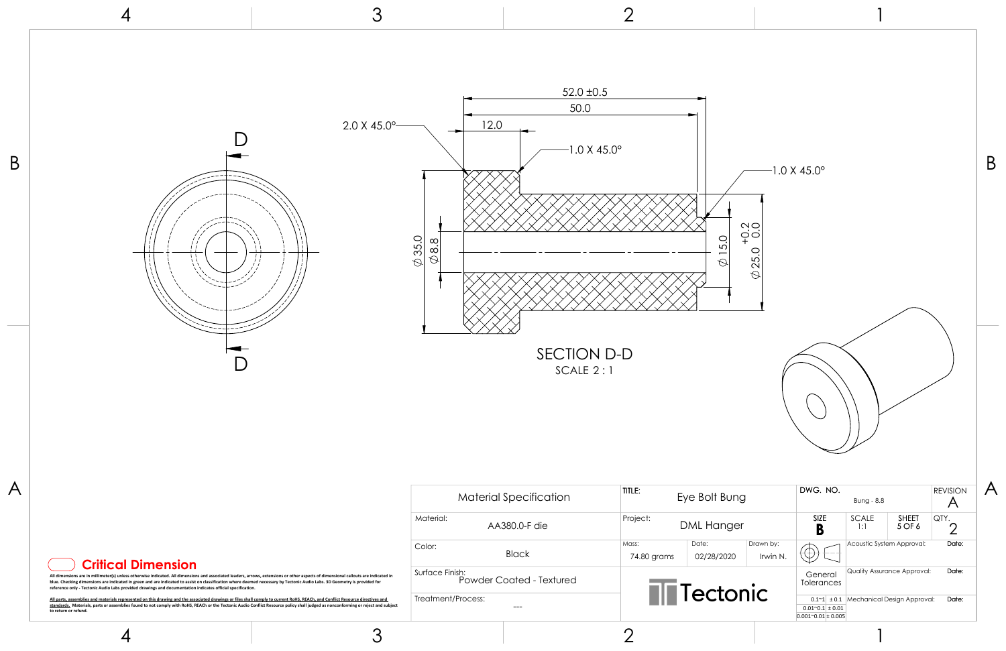

|  | <b>Critical Dimension</b> |
|--|---------------------------|
|  |                           |